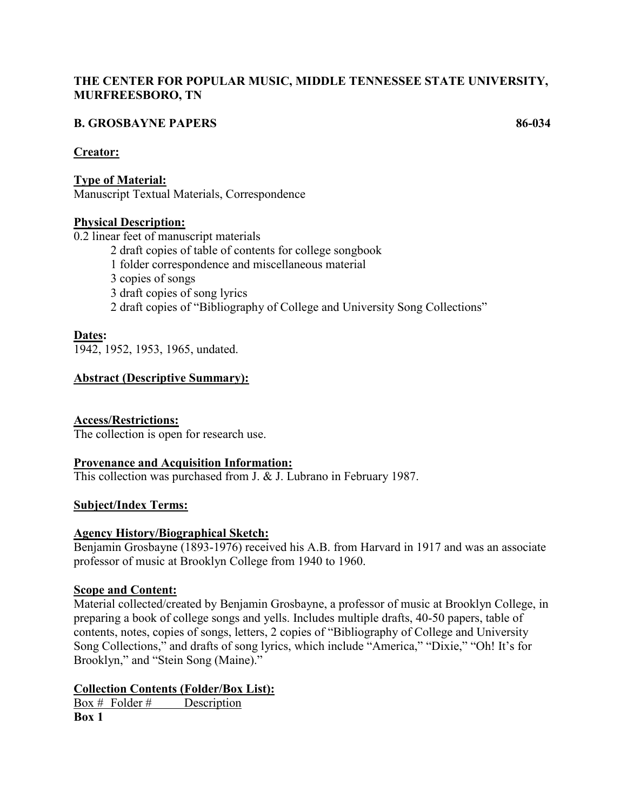# **THE CENTER FOR POPULAR MUSIC, MIDDLE TENNESSEE STATE UNIVERSITY, MURFREESBORO, TN**

# **B. GROSBAYNE PAPERS 86-034**

#### **Creator:**

**Type of Material:** Manuscript Textual Materials, Correspondence

# **Physical Description:**

0.2 linear feet of manuscript materials

- 2 draft copies of table of contents for college songbook
- 1 folder correspondence and miscellaneous material
- 3 copies of songs
- 3 draft copies of song lyrics
- 2 draft copies of "Bibliography of College and University Song Collections"

# **Dates:**

1942, 1952, 1953, 1965, undated.

# **Abstract (Descriptive Summary):**

# **Access/Restrictions:**

The collection is open for research use.

#### **Provenance and Acquisition Information:**

This collection was purchased from J. & J. Lubrano in February 1987.

# **Subject/Index Terms:**

#### **Agency History/Biographical Sketch:**

Benjamin Grosbayne (1893-1976) received his A.B. from Harvard in 1917 and was an associate professor of music at Brooklyn College from 1940 to 1960.

#### **Scope and Content:**

Material collected/created by Benjamin Grosbayne, a professor of music at Brooklyn College, in preparing a book of college songs and yells. Includes multiple drafts, 40-50 papers, table of contents, notes, copies of songs, letters, 2 copies of "Bibliography of College and University Song Collections," and drafts of song lyrics, which include "America," "Dixie," "Oh! It's for Brooklyn," and "Stein Song (Maine)."

# **Collection Contents (Folder/Box List):**

Box # Folder # Description **Box 1**